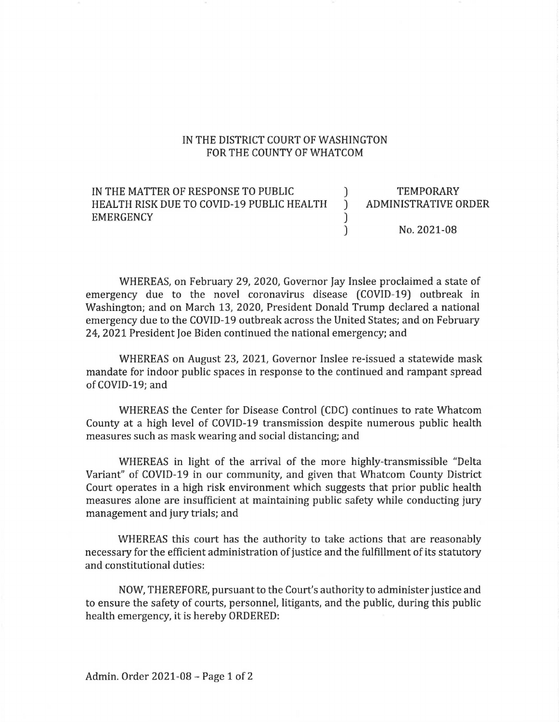## IN THE DISTRICT COURT OF WASHINGTON FOR THE COUNTY OF WHATCOM

## IN THE MATTER OF RESPONSE TO PUBLIC  $\qquad$  ) TEMPORARY HEALTH RISK DUE TO COVID-19 PUBLIC HEALTH ) ADMINISTRATIVE ORDER EMERGENCY and a series of the series of the series of the series of the series of the series of the series of the series of the series of the series of the series of the series of the series of the series of the series of ) No. 2021-08

WHEREAS, on February 29, 2020, Governor Jay Inslee proclaimed a state of emergency due to the novel coronavirus disease (COVID-19) outbreak in Washington; and on March 13, 2020, President Donald Trump declared a national emergency due to the COVID-19 outbreak across the United States; and on February 24, 2021 President Joe Biden continued the national emergency; and

WHEREAS on August 23, 2021, Governor Inslee re-issued a statewide mask mandate for indoor public spaces in response to the continued and rampant spread of COVID-19; and

WHEREAS the Center for Disease Control (CDC) continues to rate Whatcom County at a high level of COVID-19 transmission despite numerous public health measures such as mask wearing and social distancing; and

WHEREAS in light of the arrival of the more highly-transmissible "Delta Variant" of COVID-19 in our community, and given that Whatcom County District Court operates in a high risk environment which suggests that prior public health measures alone are insufficient at maintaining public safety while conducting jury management and jury trials; and

WHEREAS this court has the authority to take actions that are reasonably necessary for the efficient administration of justice and the fulfillment of its statutory and constitutional duties:

NOW, THEREFORE, pursuant to the Court's authority to administer justice and to ensure the safety of courts, personnel, litigants, and the public, during this public health emergency, it is hereby ORDERED: